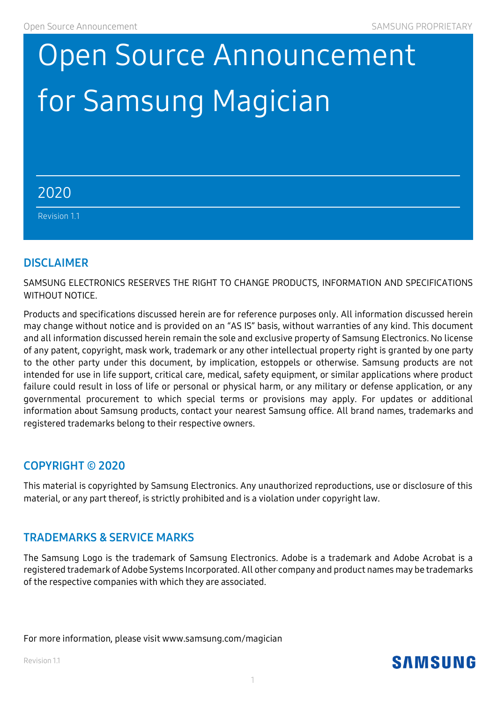# for Samsung Magician and is licensed under the GNU Lesser GNU Lesser GNU Lesser G Open Source Announcement

#### If you want to obtain the complete Corresponding Source code in the physical medium such as  $C$ physically performing source distribution may be charged. This offer is valid to anyone in receipt of this information. 2020

 $\mathfrak{so}(1,1)$  . The component  $\mathfrak{so}(1,1)$  is a set of  $\mathfrak{so}(1,1)$  . The component  $\mathfrak{so}(1,1)$ Revision 1.1

#### **DISCLAIMER**

SAMSUNG ELECTRONICS RESERVES THE RIGHT TO CHANGE PRODUCTS, INFORMATION AND SPECIFICATIONS WITHOUT NOTICE.

Products and specifications discussed herein are for reference purposes only. All information discussed herein may change without notice and is provided on an "AS IS" basis, without warranties of any kind. This document and all information discussed herein remain the sole and exclusive property of Samsung Electronics. No license of any patent, copyright, mask work, trademark or any other intellectual property right is granted by one party to the other party under this document, by implication, estoppels or otherwise. Samsung products are not intended for use in life support, critical care, medical, safety equipment, or similar applications where product failure could result in loss of life or personal or physical harm, or any military or defense application, or any governmental procurement to which special terms or provisions may apply. For updates or additional information about Samsung products, contact your nearest Samsung office. All brand names, trademarks and registered trademarks belong to their respective owners.

#### **COPYRIGHT © 2020**

This material is copyrighted by Samsung Electronics. Any unauthorized reproductions, use or disclosure of this material, or any part thereof, is strictly prohibited and is a violation under copyright law.

#### **TRADEMARKS & SERVICE MARKS**

The Samsung Logo is the trademark of Samsung Electronics. Adobe is a trademark and Adobe Acrobat is a registered trademark of Adobe Systems Incorporated. All other company and product names may be trademarks of the respective companies with which they are associated.

For more information, please visit www.samsung.com/magician

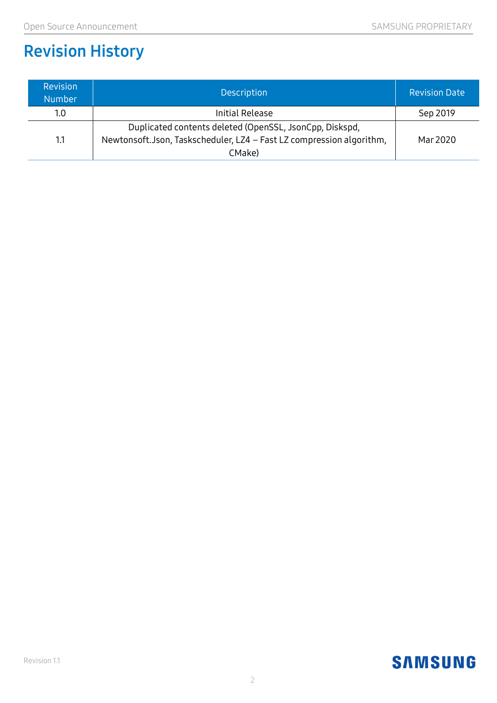# **Revision History**

| <b>Revision</b><br><b>Number</b> | <b>Description</b>                                                   | <b>Revision Date</b> |
|----------------------------------|----------------------------------------------------------------------|----------------------|
| 1.0                              | Initial Release                                                      | Sep 2019             |
|                                  | Duplicated contents deleted (OpenSSL, JsonCpp, Diskspd,              |                      |
| 1.1                              | Newtonsoft.Json, Taskscheduler, LZ4 - Fast LZ compression algorithm, | Mar 2020             |
|                                  | CMake)                                                               |                      |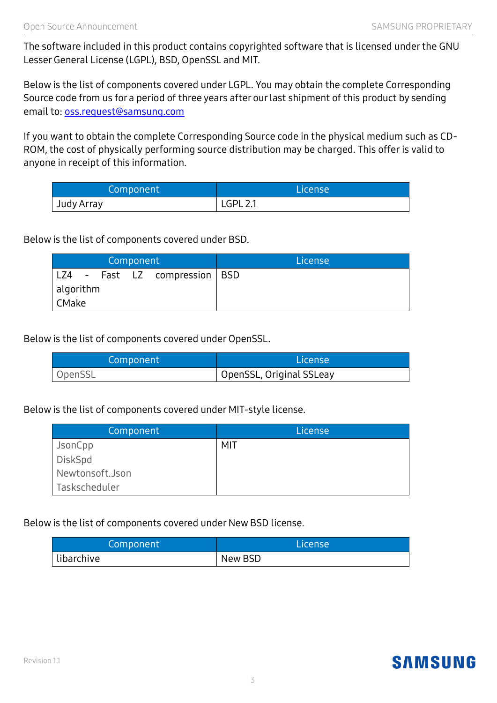The software included in this product contains copyrighted software that is licensed under the GNU Lesser General License (LGPL), BSD, OpenSSL and MIT.

Below is the list of components covered under LGPL. You may obtain the complete Corresponding Source code from us for a period of three years after our last shipment of this product by sending email to: oss.request@samsung.com

If you want to obtain the complete Corresponding Source code in the physical medium such as CD-ROM, the cost of physically performing source distribution may be charged. This offer is valid to anyone in receipt of this information.

| Component  | <b>License</b>  |
|------------|-----------------|
| Judy Array | <b>LGPL 2.1</b> |

Below is the list of components covered under BSD.

| Component |  |  |  |                                 | License |
|-----------|--|--|--|---------------------------------|---------|
|           |  |  |  | LZ4 - Fast LZ compression   BSD |         |
| algorithm |  |  |  |                                 |         |
| CMake     |  |  |  |                                 |         |

Below is the list of components covered under OpenSSL.

| Component | License                  |
|-----------|--------------------------|
| OpenSSL   | OpenSSL, Original SSLeay |

Below is the list of components covered under MIT-style license.

| Component       | License |
|-----------------|---------|
| JsonCpp         | MIT     |
| DiskSpd         |         |
| Newtonsoft.Json |         |
| Taskscheduler   |         |

Below is the list of components covered under New BSD license.

| Component  | License |
|------------|---------|
| libarchive | New BSD |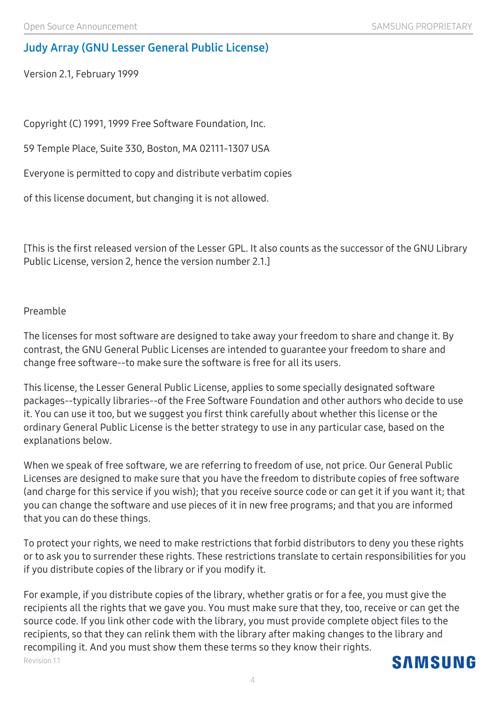# **Judy Array (GNU Lesser General Public License)**

Version 2.1, February 1999

Copyright (C) 1991, 1999 Free Software Foundation, Inc.

59 Temple Place, Suite 330, Boston, MA 02111-1307 USA

Everyone is permitted to copy and distribute verbatim copies

of this license document, but changing it is not allowed.

[This is the first released version of the Lesser GPL. It also counts as the successor of the GNU Library Public License, version 2, hence the version number 2.1.]

#### Preamble

The licenses for most software are designed to take away your freedom to share and change it. By contrast, the GNU General Public Licenses are intended to guarantee your freedom to share and change free software--to make sure the software is free for all its users.

This license, the Lesser General Public License, applies to some specially designated software packages--typically libraries--of the Free Software Foundation and other authors who decide to use it. You can use it too, but we suggest you first think carefully about whether this license or the ordinary General Public License is the better strategy to use in any particular case, based on the explanations below.

When we speak of free software, we are referring to freedom of use, not price. Our General Public Licenses are designed to make sure that you have the freedom to distribute copies of free software (and charge for this service if you wish); that you receive source code or can get it if you want it; that you can change the software and use pieces of it in new free programs; and that you are informed that you can do these things.

To protect your rights, we need to make restrictions that forbid distributors to deny you these rights or to ask you to surrender these rights. These restrictions translate to certain responsibilities for you if you distribute copies of the library or if you modify it.

Revision 1.1 For example, if you distribute copies of the library, whether gratis or for a fee, you must give the recipients all the rights that we gave you. You must make sure that they, too, receive or can get the source code. If you link other code with the library, you must provide complete object files to the recipients, so that they can relink them with the library after making changes to the library and recompiling it. And you must show them these terms so they know their rights.

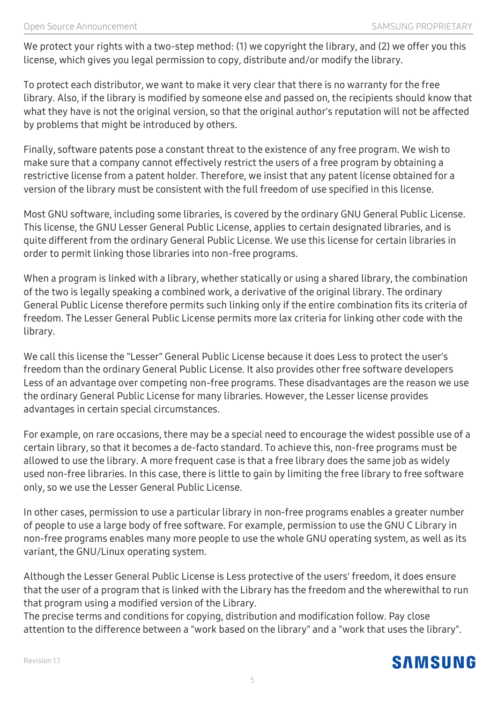We protect your rights with a two-step method: (1) we copyright the library, and (2) we offer you this license, which gives you legal permission to copy, distribute and/or modify the library.

To protect each distributor, we want to make it very clear that there is no warranty for the free library. Also, if the library is modified by someone else and passed on, the recipients should know that what they have is not the original version, so that the original author's reputation will not be affected by problems that might be introduced by others.

Finally, software patents pose a constant threat to the existence of any free program. We wish to make sure that a company cannot effectively restrict the users of a free program by obtaining a restrictive license from a patent holder. Therefore, we insist that any patent license obtained for a version of the library must be consistent with the full freedom of use specified in this license.

Most GNU software, including some libraries, is covered by the ordinary GNU General Public License. This license, the GNU Lesser General Public License, applies to certain designated libraries, and is quite different from the ordinary General Public License. We use this license for certain libraries in order to permit linking those libraries into non-free programs.

When a program is linked with a library, whether statically or using a shared library, the combination of the two is legally speaking a combined work, a derivative of the original library. The ordinary General Public License therefore permits such linking only if the entire combination fits its criteria of freedom. The Lesser General Public License permits more lax criteria for linking other code with the library.

We call this license the "Lesser" General Public License because it does Less to protect the user's freedom than the ordinary General Public License. It also provides other free software developers Less of an advantage over competing non-free programs. These disadvantages are the reason we use the ordinary General Public License for many libraries. However, the Lesser license provides advantages in certain special circumstances.

For example, on rare occasions, there may be a special need to encourage the widest possible use of a certain library, so that it becomes a de-facto standard. To achieve this, non-free programs must be allowed to use the library. A more frequent case is that a free library does the same job as widely used non-free libraries. In this case, there is little to gain by limiting the free library to free software only, so we use the Lesser General Public License.

In other cases, permission to use a particular library in non-free programs enables a greater number of people to use a large body of free software. For example, permission to use the GNU C Library in non-free programs enables many more people to use the whole GNU operating system, as well as its variant, the GNU/Linux operating system.

Although the Lesser General Public License is Less protective of the users' freedom, it does ensure that the user of a program that is linked with the Library has the freedom and the wherewithal to run that program using a modified version of the Library.

The precise terms and conditions for copying, distribution and modification follow. Pay close attention to the difference between a "work based on the library" and a "work that uses the library".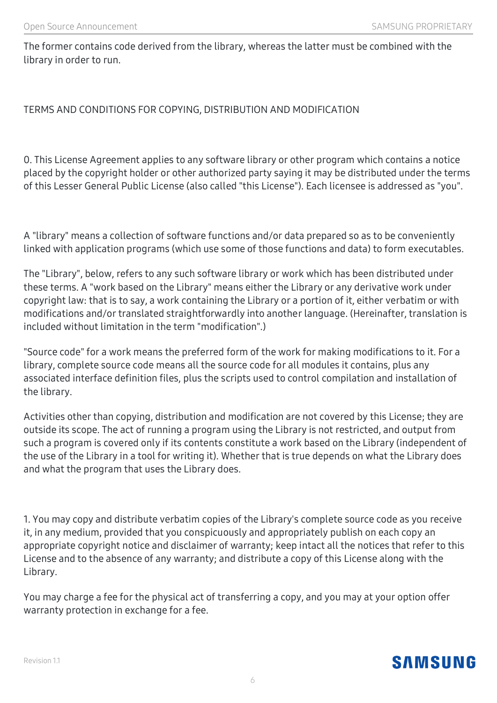The former contains code derived from the library, whereas the latter must be combined with the library in order to run.

#### TERMS AND CONDITIONS FOR COPYING, DISTRIBUTION AND MODIFICATION

0. This License Agreement applies to any software library or other program which contains a notice placed by the copyright holder or other authorized party saying it may be distributed under the terms of this Lesser General Public License (also called "this License"). Each licensee is addressed as "you".

A "library" means a collection of software functions and/or data prepared so as to be conveniently linked with application programs (which use some of those functions and data) to form executables.

The "Library", below, refers to any such software library or work which has been distributed under these terms. A "work based on the Library" means either the Library or any derivative work under copyright law: that is to say, a work containing the Library or a portion of it, either verbatim or with modifications and/or translated straightforwardly into another language. (Hereinafter, translation is included without limitation in the term "modification".)

"Source code" for a work means the preferred form of the work for making modifications to it. For a library, complete source code means all the source code for all modules it contains, plus any associated interface definition files, plus the scripts used to control compilation and installation of the library.

Activities other than copying, distribution and modification are not covered by this License; they are outside its scope. The act of running a program using the Library is not restricted, and output from such a program is covered only if its contents constitute a work based on the Library (independent of the use of the Library in a tool for writing it). Whether that is true depends on what the Library does and what the program that uses the Library does.

1. You may copy and distribute verbatim copies of the Library's complete source code as you receive it, in any medium, provided that you conspicuously and appropriately publish on each copy an appropriate copyright notice and disclaimer of warranty; keep intact all the notices that refer to this License and to the absence of any warranty; and distribute a copy of this License along with the Library.

You may charge a fee for the physical act of transferring a copy, and you may at your option offer warranty protection in exchange for a fee.

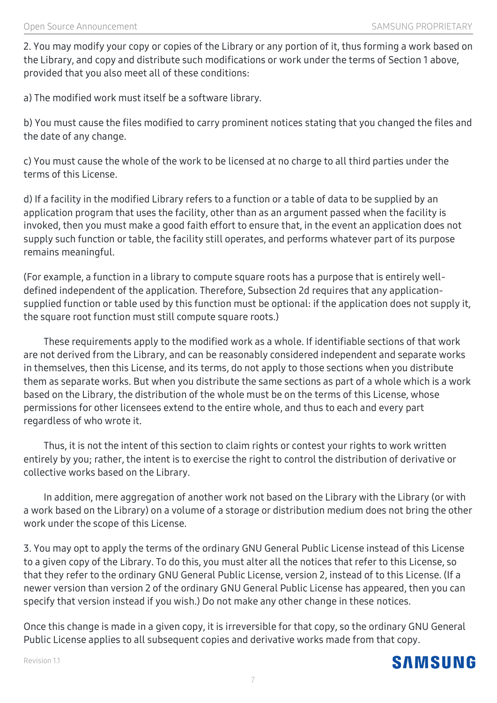2. You may modify your copy or copies of the Library or any portion of it, thus forming a work based on the Library, and copy and distribute such modifications or work under the terms of Section 1 above, provided that you also meet all of these conditions:

a) The modified work must itself be a software library.

b) You must cause the files modified to carry prominent notices stating that you changed the files and the date of any change.

c) You must cause the whole of the work to be licensed at no charge to all third parties under the terms of this License.

d) If a facility in the modified Library refers to a function or a table of data to be supplied by an application program that uses the facility, other than as an argument passed when the facility is invoked, then you must make a good faith effort to ensure that, in the event an application does not supply such function or table, the facility still operates, and performs whatever part of its purpose remains meaningful.

(For example, a function in a library to compute square roots has a purpose that is entirely welldefined independent of the application. Therefore, Subsection 2d requires that any applicationsupplied function or table used by this function must be optional: if the application does not supply it, the square root function must still compute square roots.)

 These requirements apply to the modified work as a whole. If identifiable sections of that work are not derived from the Library, and can be reasonably considered independent and separate works in themselves, then this License, and its terms, do not apply to those sections when you distribute them as separate works. But when you distribute the same sections as part of a whole which is a work based on the Library, the distribution of the whole must be on the terms of this License, whose permissions for other licensees extend to the entire whole, and thus to each and every part regardless of who wrote it.

 Thus, it is not the intent of this section to claim rights or contest your rights to work written entirely by you; rather, the intent is to exercise the right to control the distribution of derivative or collective works based on the Library.

 In addition, mere aggregation of another work not based on the Library with the Library (or with a work based on the Library) on a volume of a storage or distribution medium does not bring the other work under the scope of this License.

3. You may opt to apply the terms of the ordinary GNU General Public License instead of this License to a given copy of the Library. To do this, you must alter all the notices that refer to this License, so that they refer to the ordinary GNU General Public License, version 2, instead of to this License. (If a newer version than version 2 of the ordinary GNU General Public License has appeared, then you can specify that version instead if you wish.) Do not make any other change in these notices.

Once this change is made in a given copy, it is irreversible for that copy, so the ordinary GNU General Public License applies to all subsequent copies and derivative works made from that copy.



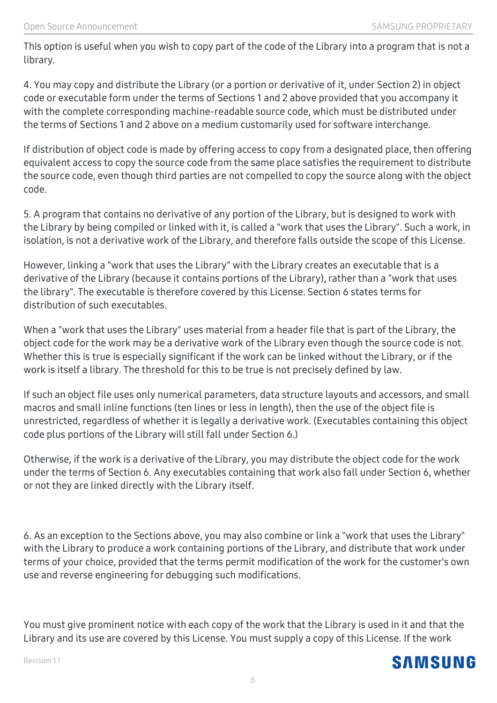This option is useful when you wish to copy part of the code of the Library into a program that is not a library.

4. You may copy and distribute the Library (or a portion or derivative of it, under Section 2) in object code or executable form under the terms of Sections 1 and 2 above provided that you accompany it with the complete corresponding machine-readable source code, which must be distributed under the terms of Sections 1 and 2 above on a medium customarily used for software interchange.

If distribution of object code is made by offering access to copy from a designated place, then offering equivalent access to copy the source code from the same place satisfies the requirement to distribute the source code, even though third parties are not compelled to copy the source along with the object code.

5. A program that contains no derivative of any portion of the Library, but is designed to work with the Library by being compiled or linked with it, is called a "work that uses the Library". Such a work, in isolation, is not a derivative work of the Library, and therefore falls outside the scope of this License.

However, linking a "work that uses the Library" with the Library creates an executable that is a derivative of the Library (because it contains portions of the Library), rather than a "work that uses the library". The executable is therefore covered by this License. Section 6 states terms for distribution of such executables.

When a "work that uses the Library" uses material from a header file that is part of the Library, the object code for the work may be a derivative work of the Library even though the source code is not. Whether this is true is especially significant if the work can be linked without the Library, or if the work is itself a library. The threshold for this to be true is not precisely defined by law.

If such an object file uses only numerical parameters, data structure layouts and accessors, and small macros and small inline functions (ten lines or less in length), then the use of the object file is unrestricted, regardless of whether it is legally a derivative work. (Executables containing this object code plus portions of the Library will still fall under Section 6.)

Otherwise, if the work is a derivative of the Library, you may distribute the object code for the work under the terms of Section 6. Any executables containing that work also fall under Section 6, whether or not they are linked directly with the Library itself.

6. As an exception to the Sections above, you may also combine or link a "work that uses the Library" with the Library to produce a work containing portions of the Library, and distribute that work under terms of your choice, provided that the terms permit modification of the work for the customer's own use and reverse engineering for debugging such modifications.

You must give prominent notice with each copy of the work that the Library is used in it and that the Library and its use are covered by this License. You must supply a copy of this License. If the work

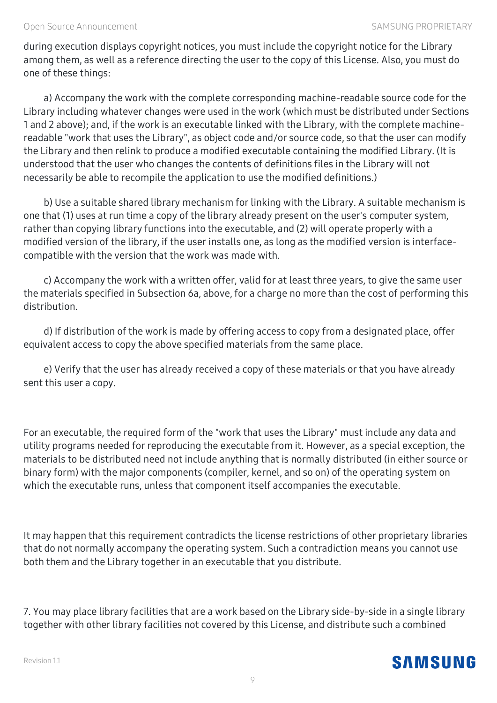during execution displays copyright notices, you must include the copyright notice for the Library among them, as well as a reference directing the user to the copy of this License. Also, you must do one of these things:

 a) Accompany the work with the complete corresponding machine-readable source code for the Library including whatever changes were used in the work (which must be distributed under Sections 1 and 2 above); and, if the work is an executable linked with the Library, with the complete machinereadable "work that uses the Library", as object code and/or source code, so that the user can modify the Library and then relink to produce a modified executable containing the modified Library. (It is understood that the user who changes the contents of definitions files in the Library will not necessarily be able to recompile the application to use the modified definitions.)

 b) Use a suitable shared library mechanism for linking with the Library. A suitable mechanism is one that (1) uses at run time a copy of the library already present on the user's computer system, rather than copying library functions into the executable, and (2) will operate properly with a modified version of the library, if the user installs one, as long as the modified version is interfacecompatible with the version that the work was made with.

 c) Accompany the work with a written offer, valid for at least three years, to give the same user the materials specified in Subsection 6a, above, for a charge no more than the cost of performing this distribution.

 d) If distribution of the work is made by offering access to copy from a designated place, offer equivalent access to copy the above specified materials from the same place.

 e) Verify that the user has already received a copy of these materials or that you have already sent this user a copy.

For an executable, the required form of the "work that uses the Library" must include any data and utility programs needed for reproducing the executable from it. However, as a special exception, the materials to be distributed need not include anything that is normally distributed (in either source or binary form) with the major components (compiler, kernel, and so on) of the operating system on which the executable runs, unless that component itself accompanies the executable.

It may happen that this requirement contradicts the license restrictions of other proprietary libraries that do not normally accompany the operating system. Such a contradiction means you cannot use both them and the Library together in an executable that you distribute.

7. You may place library facilities that are a work based on the Library side-by-side in a single library together with other library facilities not covered by this License, and distribute such a combined

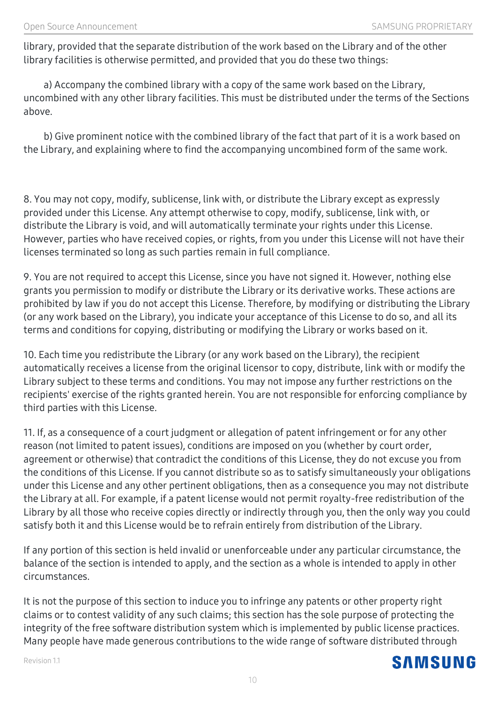library, provided that the separate distribution of the work based on the Library and of the other library facilities is otherwise permitted, and provided that you do these two things:

 a) Accompany the combined library with a copy of the same work based on the Library, uncombined with any other library facilities. This must be distributed under the terms of the Sections above.

 b) Give prominent notice with the combined library of the fact that part of it is a work based on the Library, and explaining where to find the accompanying uncombined form of the same work.

8. You may not copy, modify, sublicense, link with, or distribute the Library except as expressly provided under this License. Any attempt otherwise to copy, modify, sublicense, link with, or distribute the Library is void, and will automatically terminate your rights under this License. However, parties who have received copies, or rights, from you under this License will not have their licenses terminated so long as such parties remain in full compliance.

9. You are not required to accept this License, since you have not signed it. However, nothing else grants you permission to modify or distribute the Library or its derivative works. These actions are prohibited by law if you do not accept this License. Therefore, by modifying or distributing the Library (or any work based on the Library), you indicate your acceptance of this License to do so, and all its terms and conditions for copying, distributing or modifying the Library or works based on it.

10. Each time you redistribute the Library (or any work based on the Library), the recipient automatically receives a license from the original licensor to copy, distribute, link with or modify the Library subject to these terms and conditions. You may not impose any further restrictions on the recipients' exercise of the rights granted herein. You are not responsible for enforcing compliance by third parties with this License.

11. If, as a consequence of a court judgment or allegation of patent infringement or for any other reason (not limited to patent issues), conditions are imposed on you (whether by court order, agreement or otherwise) that contradict the conditions of this License, they do not excuse you from the conditions of this License. If you cannot distribute so as to satisfy simultaneously your obligations under this License and any other pertinent obligations, then as a consequence you may not distribute the Library at all. For example, if a patent license would not permit royalty-free redistribution of the Library by all those who receive copies directly or indirectly through you, then the only way you could satisfy both it and this License would be to refrain entirely from distribution of the Library.

If any portion of this section is held invalid or unenforceable under any particular circumstance, the balance of the section is intended to apply, and the section as a whole is intended to apply in other circumstances.

It is not the purpose of this section to induce you to infringe any patents or other property right claims or to contest validity of any such claims; this section has the sole purpose of protecting the integrity of the free software distribution system which is implemented by public license practices. Many people have made generous contributions to the wide range of software distributed through



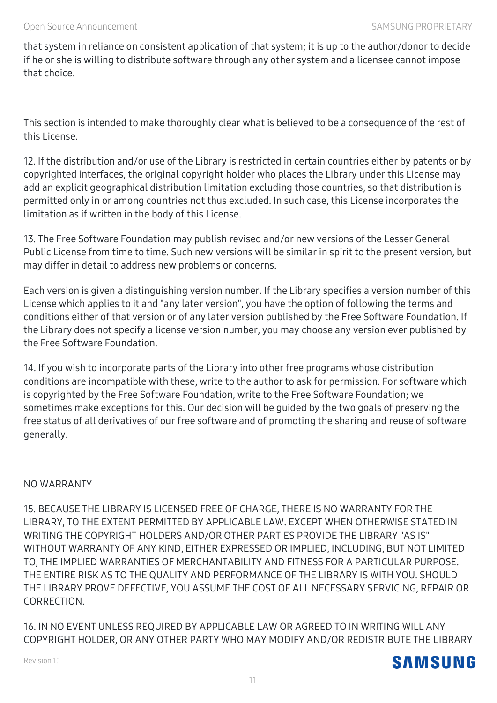that system in reliance on consistent application of that system; it is up to the author/donor to decide if he or she is willing to distribute software through any other system and a licensee cannot impose that choice.

This section is intended to make thoroughly clear what is believed to be a consequence of the rest of this License.

12. If the distribution and/or use of the Library is restricted in certain countries either by patents or by copyrighted interfaces, the original copyright holder who places the Library under this License may add an explicit geographical distribution limitation excluding those countries, so that distribution is permitted only in or among countries not thus excluded. In such case, this License incorporates the limitation as if written in the body of this License.

13. The Free Software Foundation may publish revised and/or new versions of the Lesser General Public License from time to time. Such new versions will be similar in spirit to the present version, but may differ in detail to address new problems or concerns.

Each version is given a distinguishing version number. If the Library specifies a version number of this License which applies to it and "any later version", you have the option of following the terms and conditions either of that version or of any later version published by the Free Software Foundation. If the Library does not specify a license version number, you may choose any version ever published by the Free Software Foundation.

14. If you wish to incorporate parts of the Library into other free programs whose distribution conditions are incompatible with these, write to the author to ask for permission. For software which is copyrighted by the Free Software Foundation, write to the Free Software Foundation; we sometimes make exceptions for this. Our decision will be guided by the two goals of preserving the free status of all derivatives of our free software and of promoting the sharing and reuse of software generally.

#### NO WARRANTY

15. BECAUSE THE LIBRARY IS LICENSED FREE OF CHARGE, THERE IS NO WARRANTY FOR THE LIBRARY, TO THE EXTENT PERMITTED BY APPLICABLE LAW. EXCEPT WHEN OTHERWISE STATED IN WRITING THE COPYRIGHT HOLDERS AND/OR OTHER PARTIES PROVIDE THE LIBRARY "AS IS" WITHOUT WARRANTY OF ANY KIND, EITHER EXPRESSED OR IMPLIED, INCLUDING, BUT NOT LIMITED TO, THE IMPLIED WARRANTIES OF MERCHANTABILITY AND FITNESS FOR A PARTICULAR PURPOSE. THE ENTIRE RISK AS TO THE QUALITY AND PERFORMANCE OF THE LIBRARY IS WITH YOU. SHOULD THE LIBRARY PROVE DEFECTIVE, YOU ASSUME THE COST OF ALL NECESSARY SERVICING, REPAIR OR CORRECTION.

16. IN NO EVENT UNLESS REQUIRED BY APPLICABLE LAW OR AGREED TO IN WRITING WILL ANY COPYRIGHT HOLDER, OR ANY OTHER PARTY WHO MAY MODIFY AND/OR REDISTRIBUTE THE LIBRARY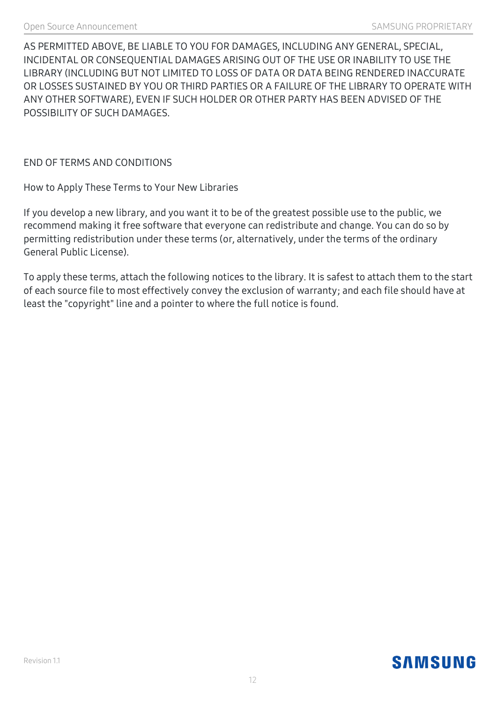AS PERMITTED ABOVE, BE LIABLE TO YOU FOR DAMAGES, INCLUDING ANY GENERAL, SPECIAL, INCIDENTAL OR CONSEQUENTIAL DAMAGES ARISING OUT OF THE USE OR INABILITY TO USE THE LIBRARY (INCLUDING BUT NOT LIMITED TO LOSS OF DATA OR DATA BEING RENDERED INACCURATE OR LOSSES SUSTAINED BY YOU OR THIRD PARTIES OR A FAILURE OF THE LIBRARY TO OPERATE WITH ANY OTHER SOFTWARE), EVEN IF SUCH HOLDER OR OTHER PARTY HAS BEEN ADVISED OF THE POSSIBILITY OF SUCH DAMAGES.

END OF TERMS AND CONDITIONS

How to Apply These Terms to Your New Libraries

If you develop a new library, and you want it to be of the greatest possible use to the public, we recommend making it free software that everyone can redistribute and change. You can do so by permitting redistribution under these terms (or, alternatively, under the terms of the ordinary General Public License).

To apply these terms, attach the following notices to the library. It is safest to attach them to the start of each source file to most effectively convey the exclusion of warranty; and each file should have at least the "copyright" line and a pointer to where the full notice is found.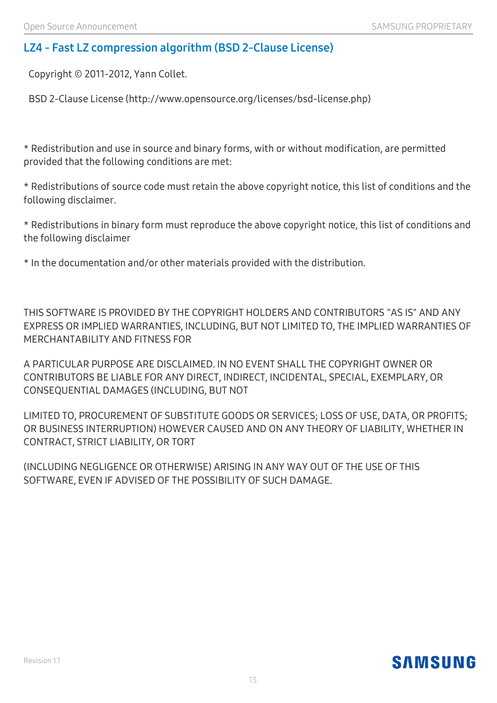# **LZ4 - Fast LZ compression algorithm (BSD 2-Clause License)**

Copyright © 2011-2012, Yann Collet.

BSD 2-Clause License (http://www.opensource.org/licenses/bsd-license.php)

\* Redistribution and use in source and binary forms, with or without modification, are permitted provided that the following conditions are met:

\* Redistributions of source code must retain the above copyright notice, this list of conditions and the following disclaimer.

\* Redistributions in binary form must reproduce the above copyright notice, this list of conditions and the following disclaimer

\* In the documentation and/or other materials provided with the distribution.

THIS SOFTWARE IS PROVIDED BY THE COPYRIGHT HOLDERS AND CONTRIBUTORS "AS IS" AND ANY EXPRESS OR IMPLIED WARRANTIES, INCLUDING, BUT NOT LIMITED TO, THE IMPLIED WARRANTIES OF MERCHANTABILITY AND FITNESS FOR

A PARTICULAR PURPOSE ARE DISCLAIMED. IN NO EVENT SHALL THE COPYRIGHT OWNER OR CONTRIBUTORS BE LIABLE FOR ANY DIRECT, INDIRECT, INCIDENTAL, SPECIAL, EXEMPLARY, OR CONSEQUENTIAL DAMAGES (INCLUDING, BUT NOT

LIMITED TO, PROCUREMENT OF SUBSTITUTE GOODS OR SERVICES; LOSS OF USE, DATA, OR PROFITS; OR BUSINESS INTERRUPTION) HOWEVER CAUSED AND ON ANY THEORY OF LIABILITY, WHETHER IN CONTRACT, STRICT LIABILITY, OR TORT

(INCLUDING NEGLIGENCE OR OTHERWISE) ARISING IN ANY WAY OUT OF THE USE OF THIS SOFTWARE, EVEN IF ADVISED OF THE POSSIBILITY OF SUCH DAMAGE.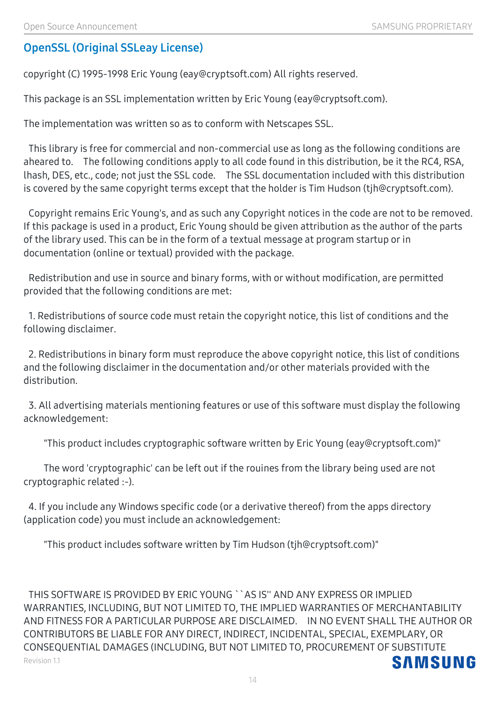# **OpenSSL (Original SSLeay License)**

Copyright (C) 1995-1998 Eric Young (eay@cryptsoft.com) All rights reserved.

This package is an SSL implementation written by Eric Young (eay@cryptsoft.com).

The implementation was written so as to conform with Netscapes SSL.

This library is free for commercial and non-commercial use as long as the following conditions are aheared to. The following conditions apply to all code found in this distribution, be it the RC4, RSA, lhash, DES, etc., code; not just the SSL code. The SSL documentation included with this distribution is covered by the same copyright terms except that the holder is Tim Hudson (tjh@cryptsoft.com).

Copyright remains Eric Young's, and as such any Copyright notices in the code are not to be removed. If this package is used in a product, Eric Young should be given attribution as the author of the parts of the library used. This can be in the form of a textual message at program startup or in documentation (online or textual) provided with the package.

Redistribution and use in source and binary forms, with or without modification, are permitted provided that the following conditions are met:

1. Redistributions of source code must retain the copyright notice, this list of conditions and the following disclaimer.

2. Redistributions in binary form must reproduce the above copyright notice, this list of conditions and the following disclaimer in the documentation and/or other materials provided with the distribution.

3. All advertising materials mentioning features or use of this software must display the following acknowledgement:

"This product includes cryptographic software written by Eric Young (eay@cryptsoft.com)"

 The word 'cryptographic' can be left out if the rouines from the library being used are not cryptographic related :-).

4. If you include any Windows specific code (or a derivative thereof) from the apps directory (application code) you must include an acknowledgement:

"This product includes software written by Tim Hudson (tjh@cryptsoft.com)"

THIS SOFTWARE IS PROVIDED BY ERIC YOUNG ``AS IS'' AND ANY EXPRESS OR IMPLIED WARRANTIES, INCLUDING, BUT NOT LIMITED TO, THE IMPLIED WARRANTIES OF MERCHANTABILITY AND FITNESS FOR A PARTICULAR PURPOSE ARE DISCLAIMED. IN NO EVENT SHALL THE AUTHOR OR CONTRIBUTORS BE LIABLE FOR ANY DIRECT, INDIRECT, INCIDENTAL, SPECIAL, EXEMPLARY, OR CONSEQUENTIAL DAMAGES (INCLUDING, BUT NOT LIMITED TO, PROCUREMENT OF SUBSTITUTE **SAMSUNG** Revision 1.1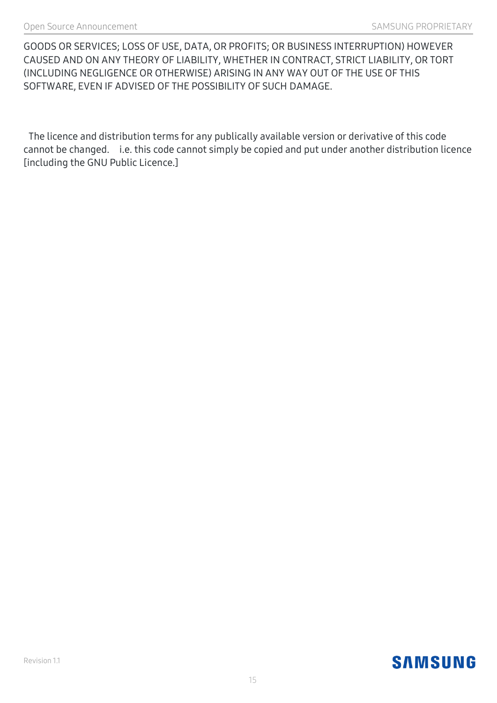GOODS OR SERVICES; LOSS OF USE, DATA, OR PROFITS; OR BUSINESS INTERRUPTION) HOWEVER CAUSED AND ON ANY THEORY OF LIABILITY, WHETHER IN CONTRACT, STRICT LIABILITY, OR TORT (INCLUDING NEGLIGENCE OR OTHERWISE) ARISING IN ANY WAY OUT OF THE USE OF THIS SOFTWARE, EVEN IF ADVISED OF THE POSSIBILITY OF SUCH DAMAGE.

The licence and distribution terms for any publically available version or derivative of this code cannot be changed. i.e. this code cannot simply be copied and put under another distribution licence [including the GNU Public Licence.]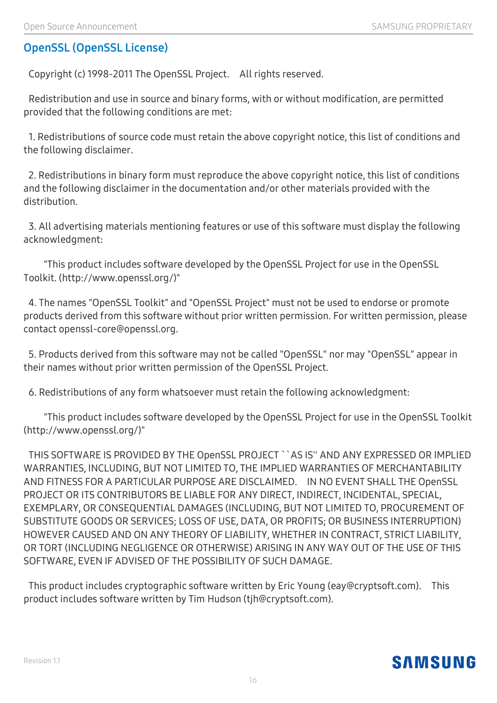# **OpenSSL (OpenSSL License)**

Copyright (c) 1998-2011 The OpenSSL Project. All rights reserved.

Redistribution and use in source and binary forms, with or without modification, are permitted provided that the following conditions are met:

1. Redistributions of source code must retain the above copyright notice, this list of conditions and the following disclaimer.

2. Redistributions in binary form must reproduce the above copyright notice, this list of conditions and the following disclaimer in the documentation and/or other materials provided with the distribution.

3. All advertising materials mentioning features or use of this software must display the following acknowledgment:

 "This product includes software developed by the OpenSSL Project for use in the OpenSSL Toolkit. (http://www.openssl.org/)"

4. The names "OpenSSL Toolkit" and "OpenSSL Project" must not be used to endorse or promote products derived from this software without prior written permission. For written permission, please contact openssl-core@openssl.org.

5. Products derived from this software may not be called "OpenSSL" nor may "OpenSSL" appear in their names without prior written permission of the OpenSSL Project.

6. Redistributions of any form whatsoever must retain the following acknowledgment:

 "This product includes software developed by the OpenSSL Project for use in the OpenSSL Toolkit (http://www.openssl.org/)"

THIS SOFTWARE IS PROVIDED BY THE OpenSSL PROJECT ``AS IS'' AND ANY EXPRESSED OR IMPLIED WARRANTIES, INCLUDING, BUT NOT LIMITED TO, THE IMPLIED WARRANTIES OF MERCHANTABILITY AND FITNESS FOR A PARTICULAR PURPOSE ARE DISCLAIMED. IN NO EVENT SHALL THE OpenSSL PROJECT OR ITS CONTRIBUTORS BE LIABLE FOR ANY DIRECT, INDIRECT, INCIDENTAL, SPECIAL, EXEMPLARY, OR CONSEQUENTIAL DAMAGES (INCLUDING, BUT NOT LIMITED TO, PROCUREMENT OF SUBSTITUTE GOODS OR SERVICES; LOSS OF USE, DATA, OR PROFITS; OR BUSINESS INTERRUPTION) HOWEVER CAUSED AND ON ANY THEORY OF LIABILITY, WHETHER IN CONTRACT, STRICT LIABILITY, OR TORT (INCLUDING NEGLIGENCE OR OTHERWISE) ARISING IN ANY WAY OUT OF THE USE OF THIS SOFTWARE, EVEN IF ADVISED OF THE POSSIBILITY OF SUCH DAMAGE.

This product includes cryptographic software written by Eric Young (eay@cryptsoft.com). This product includes software written by Tim Hudson (tjh@cryptsoft.com).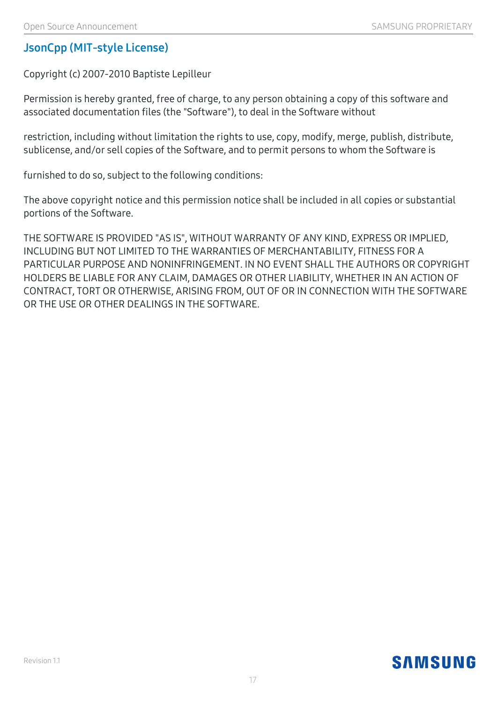### **JsonCpp (MIT-style License)**

Copyright (c) 2007-2010 Baptiste Lepilleur

Permission is hereby granted, free of charge, to any person obtaining a copy of this software and associated documentation files (the "Software"), to deal in the Software without

restriction, including without limitation the rights to use, copy, modify, merge, publish, distribute, sublicense, and/or sell copies of the Software, and to permit persons to whom the Software is

furnished to do so, subject to the following conditions:

The above copyright notice and this permission notice shall be included in all copies or substantial portions of the Software.

THE SOFTWARE IS PROVIDED "AS IS", WITHOUT WARRANTY OF ANY KIND, EXPRESS OR IMPLIED, INCLUDING BUT NOT LIMITED TO THE WARRANTIES OF MERCHANTABILITY, FITNESS FOR A PARTICULAR PURPOSE AND NONINFRINGEMENT. IN NO EVENT SHALL THE AUTHORS OR COPYRIGHT HOLDERS BE LIABLE FOR ANY CLAIM, DAMAGES OR OTHER LIABILITY, WHETHER IN AN ACTION OF CONTRACT, TORT OR OTHERWISE, ARISING FROM, OUT OF OR IN CONNECTION WITH THE SOFTWARE OR THE USE OR OTHER DEALINGS IN THE SOFTWARE.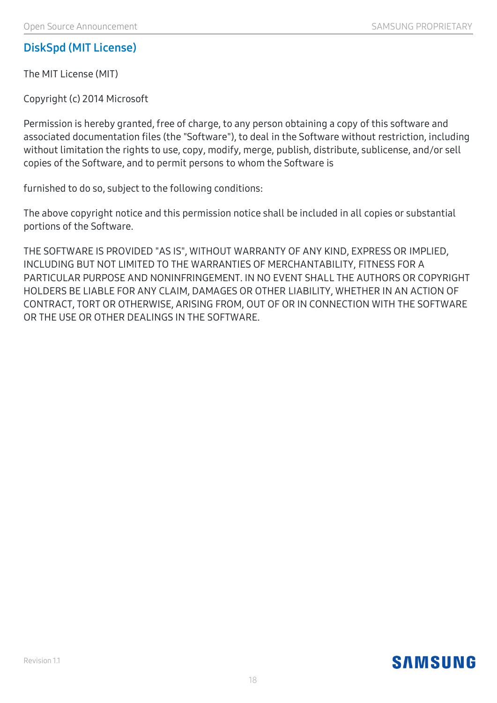### **DiskSpd (MIT License)**

The MIT License (MIT)

Copyright (c) 2014 Microsoft

Permission is hereby granted, free of charge, to any person obtaining a copy of this software and associated documentation files (the "Software"), to deal in the Software without restriction, including without limitation the rights to use, copy, modify, merge, publish, distribute, sublicense, and/or sell copies of the Software, and to permit persons to whom the Software is

furnished to do so, subject to the following conditions:

The above copyright notice and this permission notice shall be included in all copies or substantial portions of the Software.

THE SOFTWARE IS PROVIDED "AS IS", WITHOUT WARRANTY OF ANY KIND, EXPRESS OR IMPLIED, INCLUDING BUT NOT LIMITED TO THE WARRANTIES OF MERCHANTABILITY, FITNESS FOR A PARTICULAR PURPOSE AND NONINFRINGEMENT. IN NO EVENT SHALL THE AUTHORS OR COPYRIGHT HOLDERS BE LIABLE FOR ANY CLAIM, DAMAGES OR OTHER LIABILITY, WHETHER IN AN ACTION OF CONTRACT, TORT OR OTHERWISE, ARISING FROM, OUT OF OR IN CONNECTION WITH THE SOFTWARE OR THE USE OR OTHER DEALINGS IN THE SOFTWARE.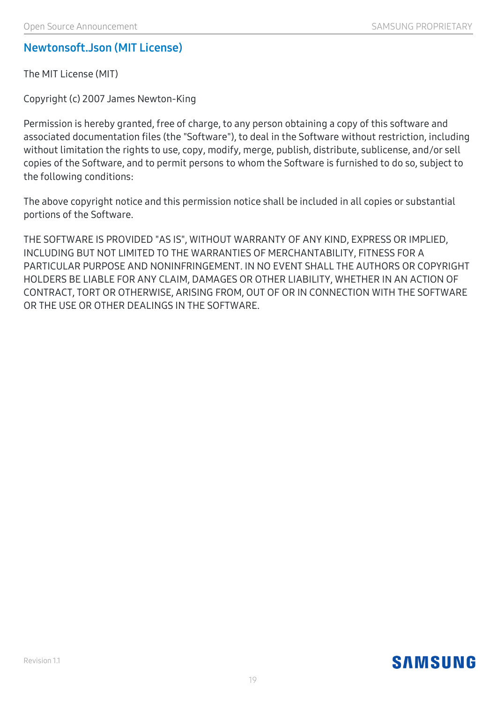#### **Newtonsoft.Json (MIT License)**

The MIT License (MIT)

Copyright (c) 2007 James Newton-King

Permission is hereby granted, free of charge, to any person obtaining a copy of this software and associated documentation files (the "Software"), to deal in the Software without restriction, including without limitation the rights to use, copy, modify, merge, publish, distribute, sublicense, and/or sell copies of the Software, and to permit persons to whom the Software is furnished to do so, subject to the following conditions:

The above copyright notice and this permission notice shall be included in all copies or substantial portions of the Software.

THE SOFTWARE IS PROVIDED "AS IS", WITHOUT WARRANTY OF ANY KIND, EXPRESS OR IMPLIED, INCLUDING BUT NOT LIMITED TO THE WARRANTIES OF MERCHANTABILITY, FITNESS FOR A PARTICULAR PURPOSE AND NONINFRINGEMENT. IN NO EVENT SHALL THE AUTHORS OR COPYRIGHT HOLDERS BE LIABLE FOR ANY CLAIM, DAMAGES OR OTHER LIABILITY, WHETHER IN AN ACTION OF CONTRACT, TORT OR OTHERWISE, ARISING FROM, OUT OF OR IN CONNECTION WITH THE SOFTWARE OR THE USE OR OTHER DEALINGS IN THE SOFTWARE.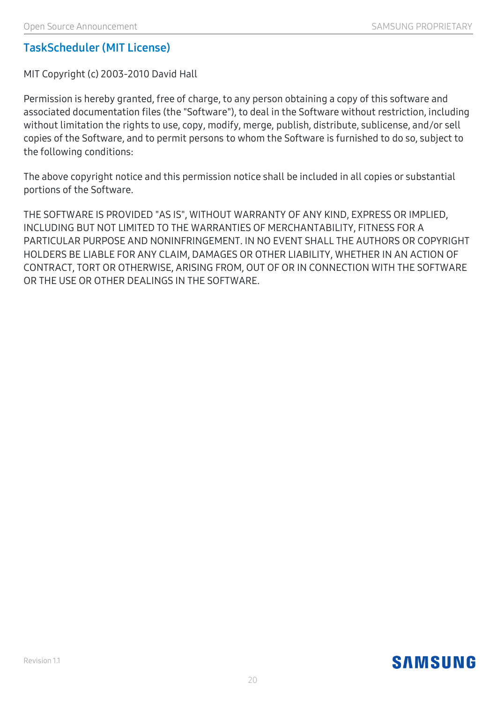#### **TaskScheduler (MIT License)**

MIT Copyright (c) 2003-2010 David Hall

Permission is hereby granted, free of charge, to any person obtaining a copy of this software and associated documentation files (the "Software"), to deal in the Software without restriction, including without limitation the rights to use, copy, modify, merge, publish, distribute, sublicense, and/or sell copies of the Software, and to permit persons to whom the Software is furnished to do so, subject to the following conditions:

The above copyright notice and this permission notice shall be included in all copies or substantial portions of the Software.

THE SOFTWARE IS PROVIDED "AS IS", WITHOUT WARRANTY OF ANY KIND, EXPRESS OR IMPLIED, INCLUDING BUT NOT LIMITED TO THE WARRANTIES OF MERCHANTABILITY, FITNESS FOR A PARTICULAR PURPOSE AND NONINFRINGEMENT. IN NO EVENT SHALL THE AUTHORS OR COPYRIGHT HOLDERS BE LIABLE FOR ANY CLAIM, DAMAGES OR OTHER LIABILITY, WHETHER IN AN ACTION OF CONTRACT, TORT OR OTHERWISE, ARISING FROM, OUT OF OR IN CONNECTION WITH THE SOFTWARE OR THE USE OR OTHER DEALINGS IN THE SOFTWARE.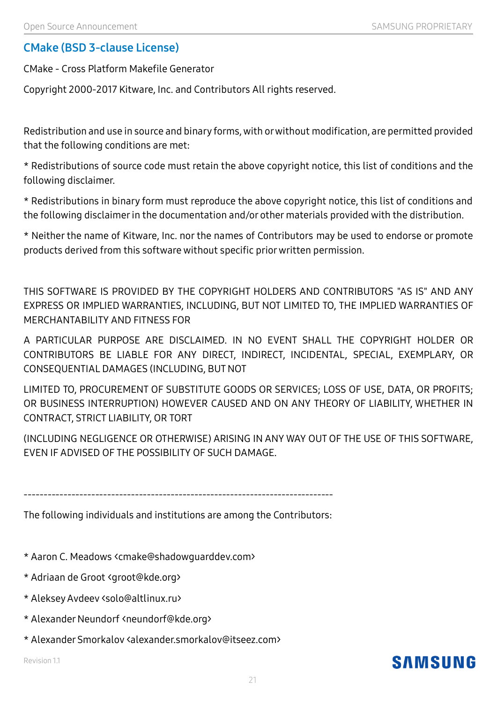#### **CMake (BSD 3-clause License)**

CMake - Cross Platform Makefile Generator

Copyright 2000-2017 Kitware, Inc. and Contributors All rights reserved.

Redistribution and use in source and binary forms, with or without modification, are permitted provided that the following conditions are met:

\* Redistributions of source code must retain the above copyright notice, this list of conditions and the following disclaimer.

\* Redistributions in binary form must reproduce the above copyright notice, this list of conditions and the following disclaimer in the documentation and/or other materials provided with the distribution.

\* Neither the name of Kitware, Inc. nor the names of Contributors may be used to endorse or promote products derived from this software without specific prior written permission.

THIS SOFTWARE IS PROVIDED BY THE COPYRIGHT HOLDERS AND CONTRIBUTORS "AS IS" AND ANY EXPRESS OR IMPLIED WARRANTIES, INCLUDING, BUT NOT LIMITED TO, THE IMPLIED WARRANTIES OF MERCHANTABILITY AND FITNESS FOR

A PARTICULAR PURPOSE ARE DISCLAIMED. IN NO EVENT SHALL THE COPYRIGHT HOLDER OR CONTRIBUTORS BE LIABLE FOR ANY DIRECT, INDIRECT, INCIDENTAL, SPECIAL, EXEMPLARY, OR CONSEQUENTIAL DAMAGES (INCLUDING, BUT NOT

LIMITED TO, PROCUREMENT OF SUBSTITUTE GOODS OR SERVICES; LOSS OF USE, DATA, OR PROFITS; OR BUSINESS INTERRUPTION) HOWEVER CAUSED AND ON ANY THEORY OF LIABILITY, WHETHER IN CONTRACT, STRICT LIABILITY, OR TORT

(INCLUDING NEGLIGENCE OR OTHERWISE) ARISING IN ANY WAY OUT OF THE USE OF THIS SOFTWARE, EVEN IF ADVISED OF THE POSSIBILITY OF SUCH DAMAGE.

------------------------------------------------------------------------------

The following individuals and institutions are among the Contributors:

- \* Aaron C. Meadows <cmake@shadowguarddev.com>
- \* Adriaan de Groot <groot@kde.org>
- \* Aleksey Avdeev <solo@altlinux.ru>
- \* Alexander Neundorf <neundorf@kde.org>
- \* Alexander Smorkalov <alexander.smorkalov@itseez.com>

Revision 1.1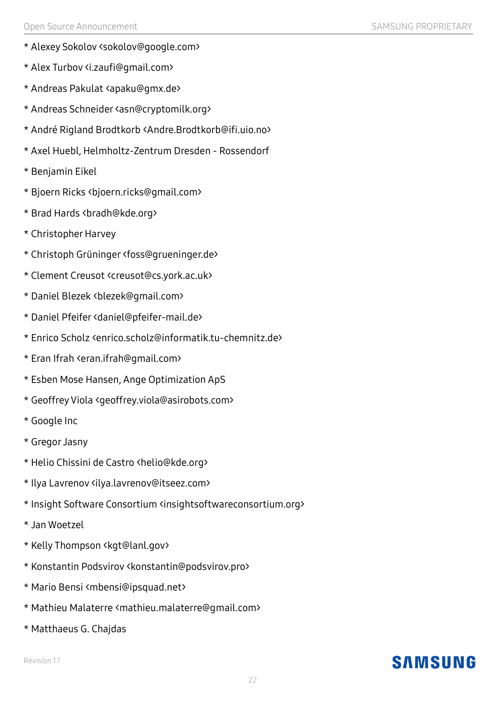- \* Alexey Sokolov <sokolov@google.com>
- \* Alex Turbov <i.zaufi@gmail.com>
- \* Andreas Pakulat <apaku@gmx.de>
- \* Andreas Schneider <asn@cryptomilk.org>
- \* André Rigland Brodtkorb <Andre.Brodtkorb@ifi.uio.no>
- \* Axel Huebl, Helmholtz-Zentrum Dresden Rossendorf
- \* Benjamin Eikel
- \* Bjoern Ricks <bjoern.ricks@gmail.com>
- \* Brad Hards <bradh@kde.org>
- \* Christopher Harvey
- \* Christoph Grüninger <foss@grueninger.de>
- \* Clement Creusot <creusot@cs.york.ac.uk>
- \* Daniel Blezek <blezek@gmail.com>
- \* Daniel Pfeifer <daniel@pfeifer-mail.de>
- \* Enrico Scholz <enrico.scholz@informatik.tu-chemnitz.de>
- \* Eran Ifrah <eran.ifrah@gmail.com>
- \* Esben Mose Hansen, Ange Optimization ApS
- \* Geoffrey Viola <geoffrey.viola@asirobots.com>
- \* Google Inc
- \* Gregor Jasny
- \* Helio Chissini de Castro <helio@kde.org>
- \* Ilya Lavrenov <ilya.lavrenov@itseez.com>
- \* Insight Software Consortium <insightsoftwareconsortium.org>
- \* Jan Woetzel
- \* Kelly Thompson <kgt@lanl.gov>
- \* Konstantin Podsvirov <konstantin@podsvirov.pro>
- \* Mario Bensi <mbensi@ipsquad.net>
- \* Mathieu Malaterre <mathieu.malaterre@gmail.com>
- \* Matthaeus G. Chajdas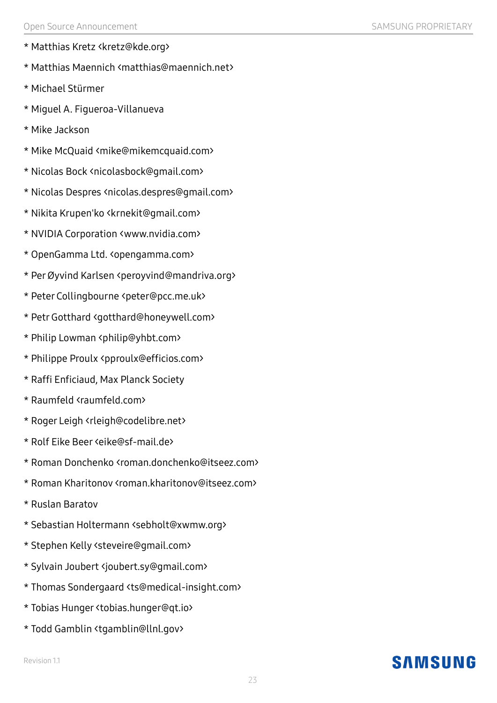- \* Matthias Kretz <kretz@kde.org>
- \* Matthias Maennich <matthias@maennich.net>
- \* Michael Stürmer
- \* Miguel A. Figueroa-Villanueva
- \* Mike Jackson
- \* Mike McQuaid <mike@mikemcquaid.com>
- \* Nicolas Bock <nicolasbock@gmail.com>
- \* Nicolas Despres <nicolas.despres@gmail.com>
- \* Nikita Krupen'ko <krnekit@gmail.com>
- \* NVIDIA Corporation <www.nvidia.com>
- \* OpenGamma Ltd. <opengamma.com>
- \* Per Øyvind Karlsen <peroyvind@mandriva.org>
- \* Peter Collingbourne <peter@pcc.me.uk>
- \* Petr Gotthard <gotthard@honeywell.com>
- \* Philip Lowman <philip@yhbt.com>
- \* Philippe Proulx <pproulx@efficios.com>
- \* Raffi Enficiaud, Max Planck Society
- \* Raumfeld <raumfeld.com>
- \* Roger Leigh <rleigh@codelibre.net>
- \* Rolf Eike Beer <eike@sf-mail.de>
- \* Roman Donchenko <roman.donchenko@itseez.com>
- \* Roman Kharitonov <roman.kharitonov@itseez.com>
- \* Ruslan Baratov
- \* Sebastian Holtermann <sebholt@xwmw.org>
- \* Stephen Kelly <steveire@gmail.com>
- \* Sylvain Joubert <joubert.sy@gmail.com>
- \* Thomas Sondergaard <ts@medical-insight.com>
- \* Tobias Hunger <tobias.hunger@qt.io>
- \* Todd Gamblin <tgamblin@llnl.gov>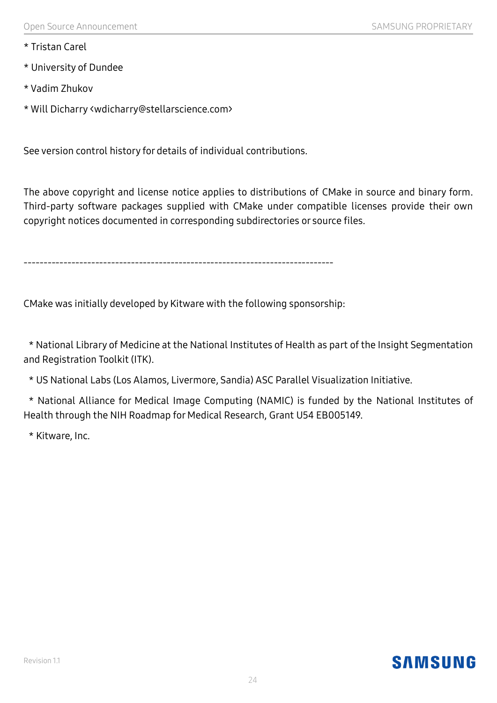- \* Tristan Carel
- \* University of Dundee
- \* Vadim Zhukov
- \* Will Dicharry <wdicharry@stellarscience.com>

See version control history for details of individual contributions.

The above copyright and license notice applies to distributions of CMake in source and binary form. Third-party software packages supplied with CMake under compatible licenses provide their own copyright notices documented in corresponding subdirectories or source files.

------------------------------------------------------------------------------

CMake was initially developed by Kitware with the following sponsorship:

\* National Library of Medicine at the National Institutes of Health as part of the Insight Segmentation and Registration Toolkit (ITK).

\* US National Labs (Los Alamos, Livermore, Sandia) ASC Parallel Visualization Initiative.

\* National Alliance for Medical Image Computing (NAMIC) is funded by the National Institutes of Health through the NIH Roadmap for Medical Research, Grant U54 EB005149.

\* Kitware, Inc.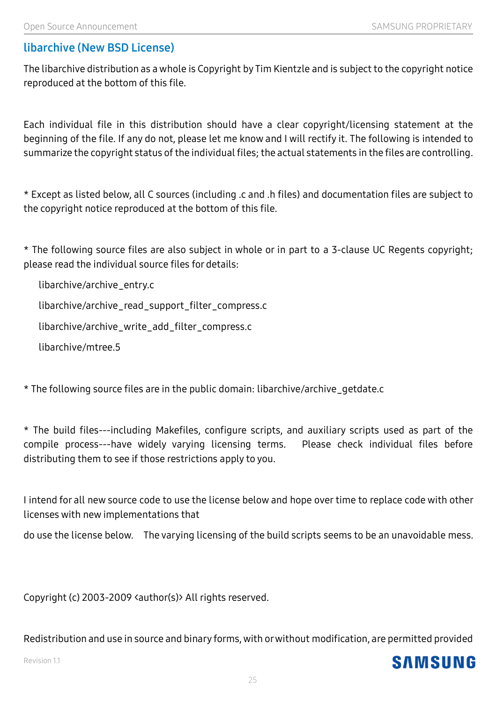**SAMSUNG** 

### **libarchive (New BSD License)**

The libarchive distribution as a whole is Copyright by Tim Kientzle and is subject to the copyright notice reproduced at the bottom of this file.

Each individual file in this distribution should have a clear copyright/licensing statement at the beginning of the file. If any do not, please let me know and I will rectify it. The following is intended to summarize the copyright status of the individual files; the actual statements in the files are controlling.

\* Except as listed below, all C sources (including .c and .h files) and documentation files are subject to the copyright notice reproduced at the bottom of this file.

\* The following source files are also subject in whole or in part to a 3-clause UC Regents copyright; please read the individual source files for details:

libarchive/archive\_entry.c

libarchive/archive\_read\_support\_filter\_compress.c

libarchive/archive\_write\_add\_filter\_compress.c

libarchive/mtree.5

\* The following source files are in the public domain: libarchive/archive\_getdate.c

\* The build files---including Makefiles, configure scripts, and auxiliary scripts used as part of the compile process---have widely varying licensing terms. Please check individual files before distributing them to see if those restrictions apply to you.

I intend for all new source code to use the license below and hope overtime to replace code with other licenses with new implementations that

do use the license below. The varying licensing of the build scripts seems to be an unavoidable mess.

Copyright (c) 2003-2009 <author(s)> All rights reserved.

Redistribution and use in source and binary forms, with or without modification, are permitted provided